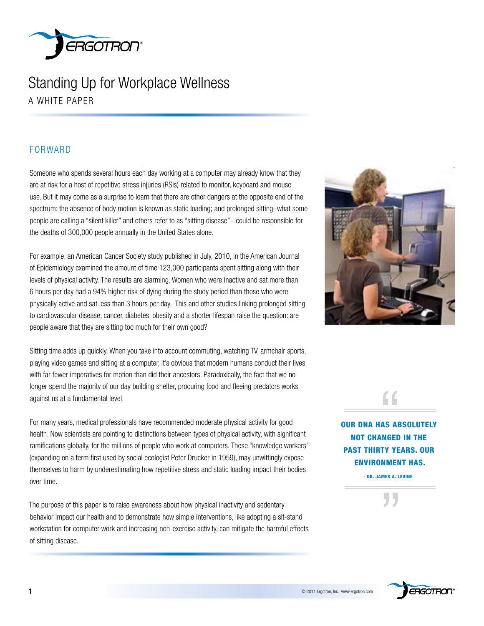

### Standing Up for workplace wellness a whITE PaPEr

### **FORWARD**

Someone who spends several hours each day working at a computer may already know that they are at risk for a host of repetitive stress injuries (RSIs) related to monitor, keyboard and mouse use. But it may come as a surprise to learn that there are other dangers at the opposite end of the spectrum: the absence of body motion is known as static loading; and prolonged sitting–what some people are calling a "silent killer" and others refer to as "sitting disease"*–* could be responsible for the deaths of 300,000 people annually in the United States alone.

For example, an American Cancer Society study published in July, 2010, in the American Journal of Epidemiology examined the amount of time 123,000 participants spent sitting along with their levels of physical activity. The results are alarming. women who were inactive and sat more than 6 hours per day had a 94% higher risk of dying during the study period than those who were physically active and sat less than 3 hours per day. This and other studies linking prolonged sitting to cardiovascular disease, cancer, diabetes, obesity and a shorter lifespan raise the question: are people aware that they are sitting too much for their own good?

Sitting time adds up quickly. when you take into account commuting, watching TV, armchair sports, playing video games and sitting at a computer, it's obvious that modern humans conduct their lives with far fewer imperatives for motion than did their ancestors. Paradoxically, the fact that we no longer spend the majority of our day building shelter, procuring food and fleeing predators works against us at a fundamental level.

For many years, medical professionals have recommended moderate physical activity for good health. Now scientists are pointing to distinctions between types of physical activity, with significant ramifications globally, for the millions of people who work at computers. These "knowledge workers" (expanding on a term first used by social ecologist Peter Drucker in 1959), may unwittingly expose themselves to harm by underestimating how repetitive stress and static loading impact their bodies over time. For many years, meuncar provisionals have recommended moderate physical activity, with significant **DUR DNA HAS ABSOLUTELY**<br>
heading to maximize the expectations between types of physical activity, with significant randica

The purpose of this paper is to raise awareness about how physical inactivity and sedentary behavior impact our health and to demonstrate how simple interventions, like adopting a sit-stand workstation for computer work and increasing non-exercise activity, can mitigate the harmful effects of sitting disease.



NOt chANgeD iN the pAst thirty yeArs. Our eNvirONmeNt hAs. <u>and the set of the set of the set of the set of the set of the set of the set of the set of the set of the set of the set of the set of the set of the set of the set of the set of the set of the set of the set of the set </u>

- Dr. jAmes A. leviNe

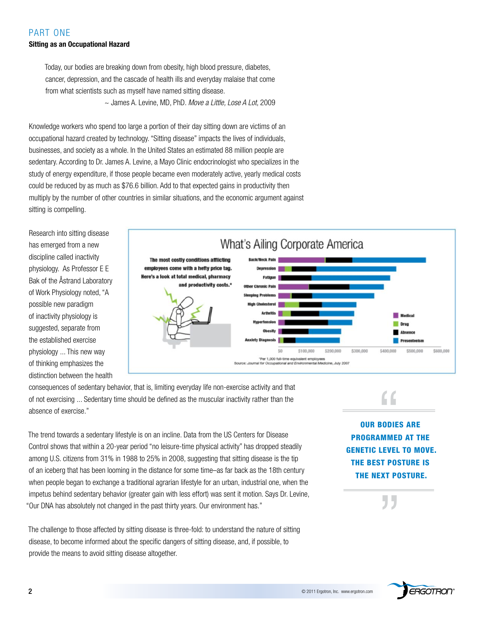### PART ONE **Sitting as an Occupational Hazard**

Today, our bodies are breaking down from obesity, high blood pressure, diabetes, cancer, depression, and the cascade of health ills and everyday malaise that come from what scientists such as myself have named sitting disease. ~ James a. Levine, Md, Phd. *Move a Little, Lose A Lot*, 2009

Knowledge workers who spend too large a portion of their day sitting down are victims of an occupational hazard created by technology. "Sitting disease" impacts the lives of individuals, businesses, and society as a whole. In the United States an estimated 88 million people are sedentary. According to Dr. James A. Levine, a Mayo Clinic endocrinologist who specializes in the study of energy expenditure, if those people became even moderately active, yearly medical costs could be reduced by as much as \$76.6 billion. add to that expected gains in productivity then multiply by the number of other countries in similar situations, and the economic argument against sitting is compelling.

Research into sitting disease has emerged from a new discipline called inactivity physiology. As Professor E E Bak of the Åstrand Laboratory of Work Physiology noted, "A possible new paradigm of inactivity physiology is suggested, separate from the established exercise physiology ... This new way of thinking emphasizes the distinction between the health



consequences of sedentary behavior, that is, limiting everyday life non-exercise activity and that of not exercising ... Sedentary time should be defined as the muscular inactivity rather than the absence of exercise."

The trend towards a sedentary lifestyle is on an incline. Data from the US Centers for Disease Control shows that within a 20-year period "no leisure-time physical activity" has dropped steadily among U.S. citizens from 31% in 1988 to 25% in 2008, suggesting that sitting disease is the tip of an iceberg that has been looming in the distance for some time–as far back as the 18th century when people began to exchange a traditional agrarian lifestyle for an urban, industrial one, when the impetus behind sedentary behavior (greater gain with less effort) was sent it motion. Says dr. Levine, "Our DNA has absolutely not changed in the past thirty years. Our environment has."

The challenge to those affected by sitting disease is three-fold: to understand the nature of sitting disease, to become informed about the specific dangers of sitting disease, and, if possible, to provide the means to avoid sitting disease altogether.

Our bODies Are prOgrAmmeD At the geNetic level tO mOve. the best pOsture is the Next pOsture.

**W** 

"

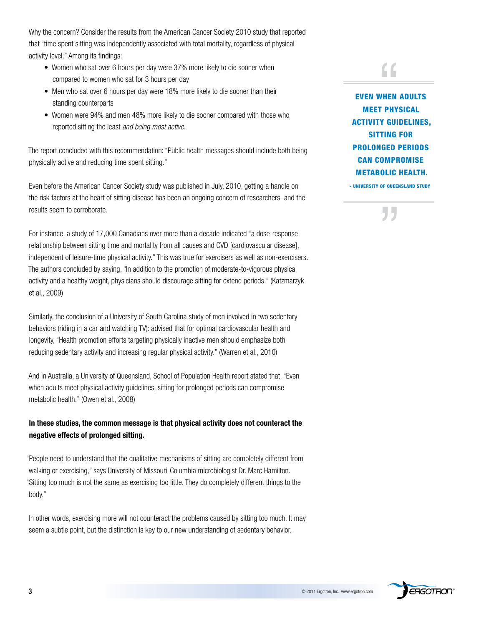Why the concern? Consider the results from the American Cancer Society 2010 study that reported that "time spent sitting was independently associated with total mortality, regardless of physical activity level." Among its findings:

- Women who sat over 6 hours per day were 37% more likely to die sooner when compared to women who sat for 3 hours per day
- Men who sat over 6 hours per day were 18% more likely to die sooner than their standing counterparts
- women were 94% and men 48% more likely to die sooner compared with those who reported sitting the least *and being most active*.

The report concluded with this recommendation: "Public health messages should include both being physically active and reducing time spent sitting."

Even before the American Cancer Society study was published in July, 2010, getting a handle on the risk factors at the heart of sitting disease has been an ongoing concern of researchers–and the results seem to corroborate.

For instance, a study of 17,000 Canadians over more than a decade indicated "a dose-response relationship between sitting time and mortality from all causes and CVD [cardiovascular disease], independent of leisure-time physical activity." This was true for exercisers as well as non-exercisers. The authors concluded by saying, "In addition to the promotion of moderate-to-vigorous physical activity and a healthy weight, physicians should discourage sitting for extend periods." (Katzmarzyk et al., 2009)

Similarly, the conclusion of a University of South Carolina study of men involved in two sedentary behaviors (riding in a car and watching TV): advised that for optimal cardiovascular health and longevity, "Health promotion efforts targeting physically inactive men should emphasize both reducing sedentary activity and increasing regular physical activity." (warren et al., 2010)

And in Australia, a University of Queensland, School of Population Health report stated that, "Even when adults meet physical activity guidelines, sitting for prolonged periods can compromise metabolic health." (Owen et al., 2008)

### **In these studies, the common message is that physical activity does not counteract the negative effects of prolonged sitting.**

"People need to understand that the qualitative mechanisms of sitting are completely different from walking or exercising," says University of Missouri-Columbia microbiologist Dr. Marc Hamilton. "Sitting too much is not the same as exercising too little. They do completely different things to the body."

In other words, exercising more will not counteract the problems caused by sitting too much. It may seem a subtle point, but the distinction is key to our new understanding of sedentary behavior.

### "

**EVEN WHEN ADULTS** meet physicAl **ACTIVITY GUIDELINES.** sittiNg fOr prOlONgeD periODs cAN cOmprOmise metAbOlic heAlth.

- uNiversity Of QueeNslAND stuDy

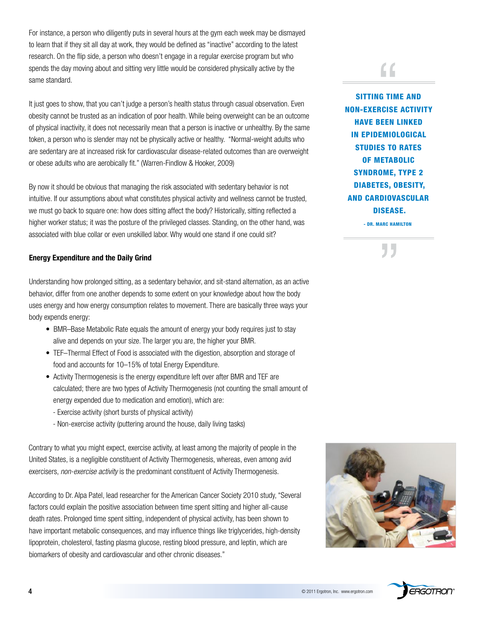For instance, a person who diligently puts in several hours at the gym each week may be dismayed to learn that if they sit all day at work, they would be defined as "inactive" according to the latest research. on the flip side, a person who doesn't engage in a regular exercise program but who spends the day moving about and sitting very little would be considered physically active by the same standard.

It just goes to show, that you can't judge a person's health status through casual observation. Even obesity cannot be trusted as an indication of poor health. while being overweight can be an outcome of physical inactivity, it does not necessarily mean that a person is inactive or unhealthy. By the same token, a person who is slender may not be physically active or healthy. "Normal-weight adults who are sedentary are at increased risk for cardiovascular disease-related outcomes than are overweight or obese adults who are aerobically fit." (warren-Findlow & hooker, 2009)

By now it should be obvious that managing the risk associated with sedentary behavior is not intuitive. If our assumptions about what constitutes physical activity and wellness cannot be trusted, we must go back to square one: how does sitting affect the body? Historically, sitting reflected a higher worker status; it was the posture of the privileged classes. Standing, on the other hand, was associated with blue collar or even unskilled labor. why would one stand if one could sit?

### **Energy Expenditure and the Daily Grind**

Understanding how prolonged sitting, as a sedentary behavior, and sit-stand alternation, as an active behavior, differ from one another depends to some extent on your knowledge about how the body uses energy and how energy consumption relates to movement. There are basically three ways your body expends energy:

- BMR-Base Metabolic Rate equals the amount of energy your body requires just to stay alive and depends on your size. The larger you are, the higher your BMr.
- TEF–Thermal Effect of Food is associated with the digestion, absorption and storage of food and accounts for 10–15% of total Energy Expenditure.
- Activity Thermogenesis is the energy expenditure left over after BMR and TEF are calculated; there are two types of activity Thermogenesis (not counting the small amount of energy expended due to medication and emotion), which are:
	- Exercise activity (short bursts of physical activity)
	- Non-exercise activity (puttering around the house, daily living tasks)

Contrary to what you might expect, exercise activity, at least among the majority of people in the United States, is a negligible constituent of activity Thermogenesis, whereas, even among avid exercisers, *non-exercise activity* is the predominant constituent of activity Thermogenesis.

According to Dr. Alpa Patel, lead researcher for the American Cancer Society 2010 study, "Several factors could explain the positive association between time spent sitting and higher all-cause death rates. Prolonged time spent sitting, independent of physical activity, has been shown to have important metabolic consequences, and may influence things like triglycerides, high-density lipoprotein, cholesterol, fasting plasma glucose, resting blood pressure, and leptin, which are biomarkers of obesity and cardiovascular and other chronic diseases."

## "

sittiNg time AND NON-exercise Activity **HAVE BEEN LINKED** iN epiDemiOlOgicAl STUDIES TO RATES Of metAbOlic syNDrOme, type 2 DiAbetes, Obesity, AND cArDiOvAsculAr DiseAse.

- Dr. mArc hAmiltON



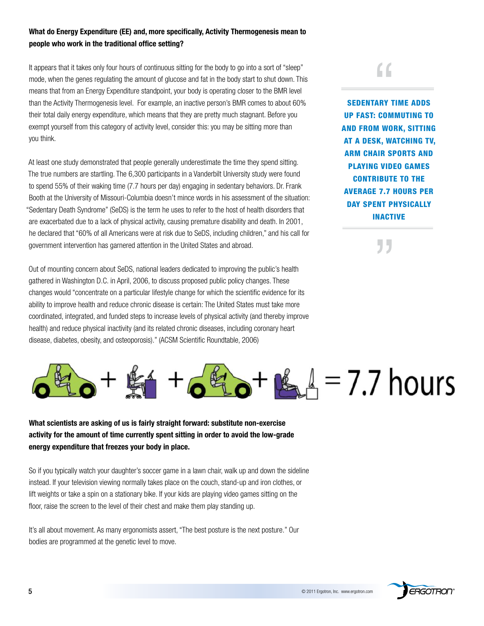### **What do Energy Expenditure (EE) and, more specifically, Activity Thermogenesis mean to people who work in the traditional office setting?**

It appears that it takes only four hours of continuous sitting for the body to go into a sort of "sleep" mode, when the genes regulating the amount of glucose and fat in the body start to shut down. This means that from an Energy Expenditure standpoint, your body is operating closer to the BMR level than the Activity Thermogenesis level. For example, an inactive person's BMR comes to about 60% their total daily energy expenditure, which means that they are pretty much stagnant. Before you exempt yourself from this category of activity level, consider this: you may be sitting more than you think.

At least one study demonstrated that people generally underestimate the time they spend sitting. The true numbers are startling. The 6,300 participants in a Vanderbilt University study were found to spend 55% of their waking time (7.7 hours per day) engaging in sedentary behaviors. Dr. Frank Booth at the University of Missouri-Columbia doesn't mince words in his assessment of the situation: "Sedentary Death Syndrome" (SeDS) is the term he uses to refer to the host of health disorders that are exacerbated due to a lack of physical activity, causing premature disability and death. In 2001, he declared that "60% of all Americans were at risk due to SeDS, including children," and his call for government intervention has garnered attention in the United States and abroad.

Out of mounting concern about SeDS, national leaders dedicated to improving the public's health gathered in Washington D.C. in April, 2006, to discuss proposed public policy changes. These changes would "concentrate on a particular lifestyle change for which the scientific evidence for its ability to improve health and reduce chronic disease is certain: The United States must take more coordinated, integrated, and funded steps to increase levels of physical activity (and thereby improve health) and reduce physical inactivity (and its related chronic diseases, including coronary heart disease, diabetes, obesity, and osteoporosis)." (ACSM Scientific Roundtable, 2006)

"

SEDENTARY TIME ADDS up fAst: cOmmutiNg tO AND frOm wOrk, sittiNg At A Desk, wAtchiNg tv, Arm chAir spOrts AND plAyiNg viDeO gAmes cONtribute tO the AverAge 7.7 hOurs per DAY SPENT PHYSICALLY iNActive

"

# $\mathbb{K}$   $\mathbb{A} = 7.7$  hours

### **What scientists are asking of us is fairly straight forward: substitute non-exercise activity for the amount of time currently spent sitting in order to avoid the low-grade energy expenditure that freezes your body in place.**

So if you typically watch your daughter's soccer game in a lawn chair, walk up and down the sideline instead. If your television viewing normally takes place on the couch, stand-up and iron clothes, or lift weights or take a spin on a stationary bike. If your kids are playing video games sitting on the floor, raise the screen to the level of their chest and make them play standing up.

It's all about movement. As many ergonomists assert, "The best posture is the next posture." Our bodies are programmed at the genetic level to move.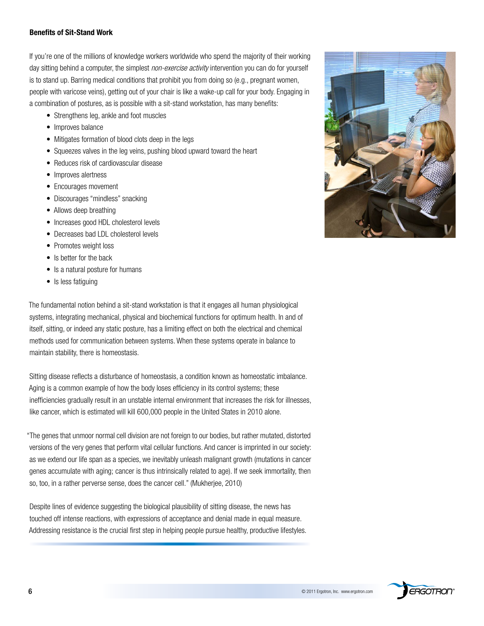### **Benefits of Sit-Stand Work**

If you're one of the millions of knowledge workers worldwide who spend the majority of their working day sitting behind a computer, the simplest *non-exercise activity* intervention you can do for yourself is to stand up. Barring medical conditions that prohibit you from doing so (e.g., pregnant women, people with varicose veins), getting out of your chair is like a wake-up call for your body. Engaging in a combination of postures, as is possible with a sit-stand workstation, has many benefits:

- Strengthens leg, ankle and foot muscles
- Improves balance
- Mitigates formation of blood clots deep in the legs
- Squeezes valves in the leg veins, pushing blood upward toward the heart
- Reduces risk of cardiovascular disease
- Improves alertness
- Encourages movement
- Discourages "mindless" snacking
- Allows deep breathing
- Increases good HDL cholesterol levels
- Decreases bad LDL cholesterol levels
- Promotes weight loss
- Is better for the back
- Is a natural posture for humans
- Is less fatiguing

The fundamental notion behind a sit-stand workstation is that it engages all human physiological systems, integrating mechanical, physical and biochemical functions for optimum health. In and of itself, sitting, or indeed any static posture, has a limiting effect on both the electrical and chemical methods used for communication between systems. when these systems operate in balance to maintain stability, there is homeostasis.

Sitting disease reflects a disturbance of homeostasis, a condition known as homeostatic imbalance. aging is a common example of how the body loses efficiency in its control systems; these inefficiencies gradually result in an unstable internal environment that increases the risk for illnesses, like cancer, which is estimated will kill 600,000 people in the United States in 2010 alone.

"The genes that unmoor normal cell division are not foreign to our bodies, but rather mutated, distorted versions of the very genes that perform vital cellular functions. and cancer is imprinted in our society: as we extend our life span as a species, we inevitably unleash malignant growth (mutations in cancer genes accumulate with aging; cancer is thus intrinsically related to age). If we seek immortality, then so, too, in a rather perverse sense, does the cancer cell." (Mukherjee, 2010)

Despite lines of evidence suggesting the biological plausibility of sitting disease, the news has touched off intense reactions, with expressions of acceptance and denial made in equal measure. addressing resistance is the crucial first step in helping people pursue healthy, productive lifestyles.



**ERGOTRON**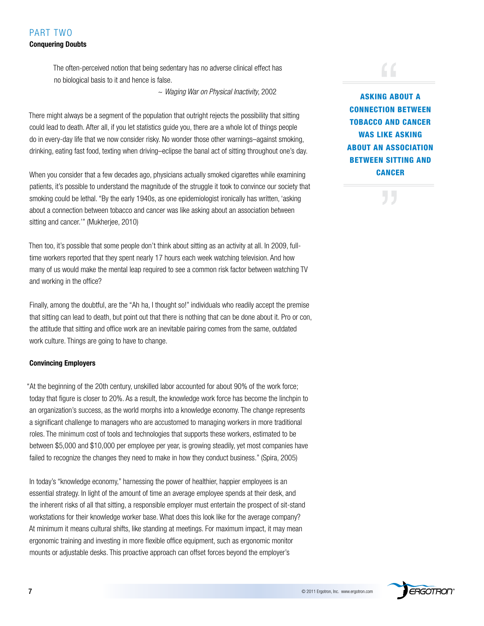### PART TWO **Conquering Doubts**

The often-perceived notion that being sedentary has no adverse clinical effect has no biological basis to it and hence is false.

~ *Waging War on Physical Inactivity*, 2002

There might always be a segment of the population that outright rejects the possibility that sitting could lead to death. after all, if you let statistics guide you, there are a whole lot of things people do in every-day life that we now consider risky. No wonder those other warnings–against smoking, drinking, eating fast food, texting when driving–eclipse the banal act of sitting throughout one's day.

when you consider that a few decades ago, physicians actually smoked cigarettes while examining patients, it's possible to understand the magnitude of the struggle it took to convince our society that smoking could be lethal. "By the early 1940s, as one epidemiologist ironically has written, 'asking about a connection between tobacco and cancer was like asking about an association between sitting and cancer.'" (Mukherjee, 2010)

Then too, it's possible that some people don't think about sitting as an activity at all. In 2009, fulltime workers reported that they spent nearly 17 hours each week watching television. And how many of us would make the mental leap required to see a common risk factor between watching TV and working in the office?

Finally, among the doubtful, are the "Ah ha, I thought so!" individuals who readily accept the premise that sitting can lead to death, but point out that there is nothing that can be done about it. Pro or con, the attitude that sitting and office work are an inevitable pairing comes from the same, outdated work culture. Things are going to have to change.

### **Convincing Employers**

"at the beginning of the 20th century, unskilled labor accounted for about 90% of the work force; today that figure is closer to 20%. as a result, the knowledge work force has become the linchpin to an organization's success, as the world morphs into a knowledge economy. The change represents a significant challenge to managers who are accustomed to managing workers in more traditional roles. The minimum cost of tools and technologies that supports these workers, estimated to be between \$5,000 and \$10,000 per employee per year, is growing steadily, yet most companies have failed to recognize the changes they need to make in how they conduct business." (Spira, 2005)

In today's "knowledge economy," harnessing the power of healthier, happier employees is an essential strategy. In light of the amount of time an average employee spends at their desk, and the inherent risks of all that sitting, a responsible employer must entertain the prospect of sit-stand workstations for their knowledge worker base. what does this look like for the average company? at minimum it means cultural shifts, like standing at meetings. For maximum impact, it may mean ergonomic training and investing in more flexible office equipment, such as ergonomic monitor mounts or adjustable desks. This proactive approach can offset forces beyond the employer's

# "<br>
<br>
NG AB<br>
TION E

AskiNg AbOut A cONNectiON betweeN tObAccO AND cANcer WAS LIKE ASKING AbOut AN AssOciAtiON **BETWEEN SITTING AND CANCER** 

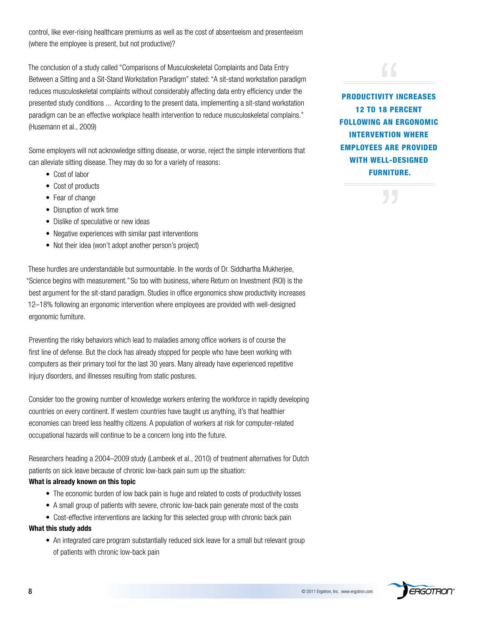control, like ever-rising healthcare premiums as well as the cost of absenteeism and presenteeism (where the employee is present, but not productive)?

The conclusion of a study called "Comparisons of Musculoskeletal Complaints and Data Entry Between a Sitting and a Sit-Stand Workstation Paradigm" stated: "A sit-stand workstation paradigm reduces musculoskeletal complaints without considerably affecting data entry efficiency under the presented study conditions ... according to the present data, implementing a sit-stand workstation paradigm can be an effective workplace health intervention to reduce musculoskeletal complains." (husemann et al., 2009)

Some employers will not acknowledge sitting disease, or worse, reject the simple interventions that can alleviate sitting disease. They may do so for a variety of reasons:

- Cost of labor
- Cost of products
- Fear of change
- Disruption of work time
- Dislike of speculative or new ideas
- Negative experiences with similar past interventions
- Not their idea (won't adopt another person's project)

These hurdles are understandable but surmountable. In the words of Dr. Siddhartha Mukherjee, "Science begins with measurement." So too with business, where Return on Investment (ROI) is the best argument for the sit-stand paradigm. Studies in office ergonomics show productivity increases 12–18% following an ergonomic intervention where employees are provided with well-designed ergonomic furniture.

Preventing the risky behaviors which lead to maladies among office workers is of course the first line of defense. But the clock has already stopped for people who have been working with computers as their primary tool for the last 30 years. Many already have experienced repetitive injury disorders, and illnesses resulting from static postures.

Consider too the growing number of knowledge workers entering the workforce in rapidly developing countries on every continent. If western countries have taught us anything, it's that healthier economies can breed less healthy citizens. a population of workers at risk for computer-related occupational hazards will continue to be a concern long into the future.

Researchers heading a 2004–2009 study (Lambeek et al., 2010) of treatment alternatives for Dutch patients on sick leave because of chronic low-back pain sum up the situation:

### **What is already known on this topic**

- The economic burden of low back pain is huge and related to costs of productivity losses
- A small group of patients with severe, chronic low-back pain generate most of the costs
- Cost-effective interventions are lacking for this selected group with chronic back pain

### **What this study adds**

• An integrated care program substantially reduced sick leave for a small but relevant group of patients with chronic low-back pain



WITH WELL-DESIGNED **FURNITURE.** 

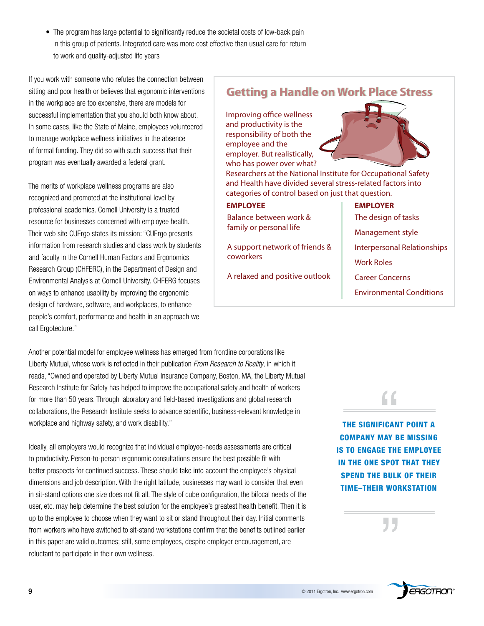• The program has large potential to significantly reduce the societal costs of low-back pain in this group of patients. Integrated care was more cost effective than usual care for return to work and quality-adjusted life years

If you work with someone who refutes the connection between sitting and poor health or believes that ergonomic interventions in the workplace are too expensive, there are models for successful implementation that you should both know about. In some cases, like the State of Maine, employees volunteered to manage workplace wellness initiatives in the absence of formal funding. They did so with such success that their program was eventually awarded a federal grant.

The merits of workplace wellness programs are also recognized and promoted at the institutional level by professional academics. Cornell University is a trusted resource for businesses concerned with employee health. Their web site CUErgo states its mission: "CUErgo presents information from research studies and class work by students and faculty in the Cornell human Factors and Ergonomics Research Group (CHFERG), in the Department of Design and Environmental analysis at Cornell University. ChFErG focuses on ways to enhance usability by improving the ergonomic design of hardware, software, and workplaces, to enhance people's comfort, performance and health in an approach we call Ergotecture."

another potential model for employee wellness has emerged from frontline corporations like Liberty Mutual, whose work is reflected in their publication *From Research to Reality*, in which it reads, "owned and operated by Liberty Mutual Insurance Company, Boston, Ma, the Liberty Mutual Research Institute for Safety has helped to improve the occupational safety and health of workers for more than 50 years. Through laboratory and field-based investigations and global research collaborations, the Research Institute seeks to advance scientific, business-relevant knowledge in workplace and highway safety, and work disability."

Ideally, all employers would recognize that individual employee-needs assessments are critical to productivity. Person-to-person ergonomic consultations ensure the best possible fit with better prospects for continued success. These should take into account the employee's physical dimensions and job description. with the right latitude, businesses may want to consider that even in sit-stand options one size does not fit all. The style of cube configuration, the bifocal needs of the user, etc. may help determine the best solution for the employee's greatest health benefit. Then it is up to the employee to choose when they want to sit or stand throughout their day. Initial comments from workers who have switched to sit-stand workstations confirm that the benefits outlined earlier in this paper are valid outcomes; still, some employees, despite employer encouragement, are reluctant to participate in their own wellness.

### **Getting a Handle on Work Place Stress Getting a Handle on Work Place Stress**

Improving office wellness and productivity is the responsibility of both the employee and the employer. But realistically, who has power over what?



Researchers at the National Institute for Occupational Safety and Health have divided several stress-related factors into categories of control based on just that question.

| <b>EMPLOYEE</b>                                   | <b>EMPLOYER</b>                    |
|---------------------------------------------------|------------------------------------|
| Balance between work &<br>family or personal life | The design of tasks                |
|                                                   | Management style                   |
| A support network of friends &<br>coworkers       | <b>Interpersonal Relationships</b> |
|                                                   | <b>Work Roles</b>                  |
| A relaxed and positive outlook                    | <b>Career Concerns</b>             |
|                                                   | <b>Environmental Conditions</b>    |



THE SIGNIFICANT POINT A cOmpANy mAy be missiNg is tO eNgAge the emplOyee iN the ONe spOt thAt they SPEND THE BULK OF THEIR time–their wOrkstAtiON

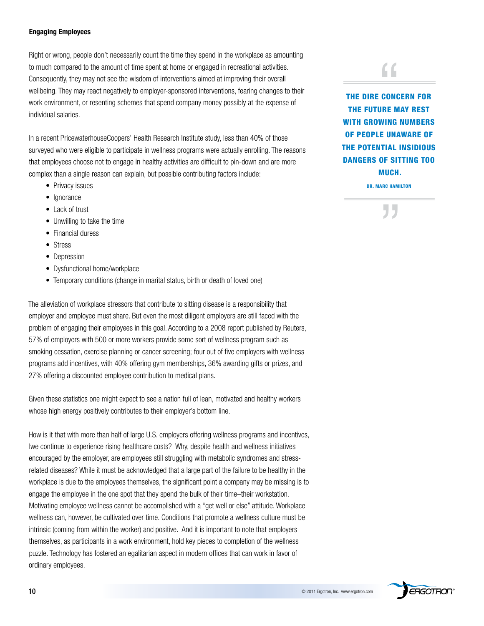#### **Engaging Employees**

Right or wrong, people don't necessarily count the time they spend in the workplace as amounting to much compared to the amount of time spent at home or engaged in recreational activities. Consequently, they may not see the wisdom of interventions aimed at improving their overall wellbeing. They may react negatively to employer-sponsored interventions, fearing changes to their work environment, or resenting schemes that spend company money possibly at the expense of individual salaries.

In a recent PricewaterhouseCoopers' Health Research Institute study, less than 40% of those surveyed who were eligible to participate in wellness programs were actually enrolling. The reasons that employees choose not to engage in healthy activities are difficult to pin-down and are more complex than a single reason can explain, but possible contributing factors include:

- Privacy issues
- Ignorance
- Lack of trust
- Unwilling to take the time
- Financial duress
- Stress
- Depression
- Dysfunctional home/workplace
- Temporary conditions (change in marital status, birth or death of loved one)

The alleviation of workplace stressors that contribute to sitting disease is a responsibility that employer and employee must share. But even the most diligent employers are still faced with the problem of engaging their employees in this goal. According to a 2008 report published by Reuters, 57% of employers with 500 or more workers provide some sort of wellness program such as smoking cessation, exercise planning or cancer screening; four out of five employers with wellness programs add incentives, with 40% offering gym memberships, 36% awarding gifts or prizes, and 27% offering a discounted employee contribution to medical plans.

Given these statistics one might expect to see a nation full of lean, motivated and healthy workers whose high energy positively contributes to their employer's bottom line.

how is it that with more than half of large U.S. employers offering wellness programs and incentives, lwe continue to experience rising healthcare costs? why, despite health and wellness initiatives encouraged by the employer, are employees still struggling with metabolic syndromes and stressrelated diseases? while it must be acknowledged that a large part of the failure to be healthy in the workplace is due to the employees themselves, the significant point a company may be missing is to engage the employee in the one spot that they spend the bulk of their time–their workstation. Motivating employee wellness cannot be accomplished with a "get well or else" attitude. workplace wellness can, however, be cultivated over time. Conditions that promote a wellness culture must be intrinsic (coming from within the worker) and positive. And it is important to note that employers themselves, as participants in a work environment, hold key pieces to completion of the wellness puzzle. Technology has fostered an egalitarian aspect in modern offices that can work in favor of ordinary employees.

 $\epsilon$ 

THE DIRE CONCERN FOR the future mAy rest WITH GROWING NUMBERS Of peOple uNAwAre Of the pOteNtiAl iNsiDiOus DANGERS OF SITTING TOO much.

Dr. mArc hAmiltON

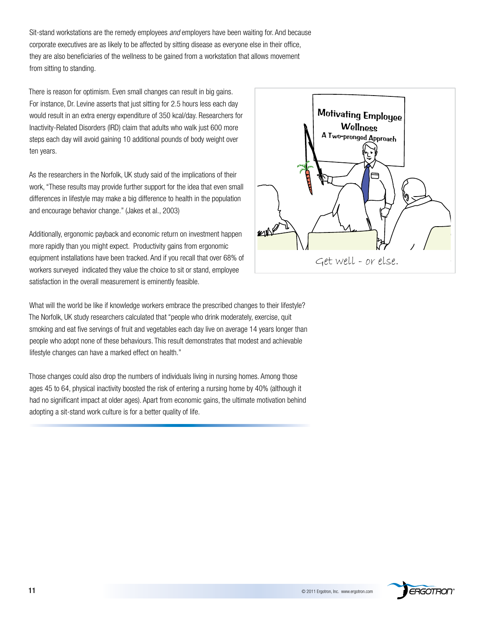Sit-stand workstations are the remedy employees *and* employers have been waiting for. And because corporate executives are as likely to be affected by sitting disease as everyone else in their office, they are also beneficiaries of the wellness to be gained from a workstation that allows movement from sitting to standing.

There is reason for optimism. Even small changes can result in big gains. For instance, Dr. Levine asserts that just sitting for 2.5 hours less each day would result in an extra energy expenditure of 350 kcal/day. Researchers for Inactivity-Related Disorders (IRD) claim that adults who walk just 600 more steps each day will avoid gaining 10 additional pounds of body weight over ten years.

as the researchers in the Norfolk, UK study said of the implications of their work, "These results may provide further support for the idea that even small differences in lifestyle may make a big difference to health in the population and encourage behavior change." (Jakes et al., 2003)

additionally, ergonomic payback and economic return on investment happen more rapidly than you might expect. Productivity gains from ergonomic equipment installations have been tracked. And if you recall that over 68% of workers surveyed indicated they value the choice to sit or stand, employee satisfaction in the overall measurement is eminently feasible.



What will the world be like if knowledge workers embrace the prescribed changes to their lifestyle? The Norfolk, UK study researchers calculated that "people who drink moderately, exercise, quit smoking and eat five servings of fruit and vegetables each day live on average 14 years longer than people who adopt none of these behaviours. This result demonstrates that modest and achievable lifestyle changes can have a marked effect on health."

Those changes could also drop the numbers of individuals living in nursing homes. Among those ages 45 to 64, physical inactivity boosted the risk of entering a nursing home by 40% (although it had no significant impact at older ages). Apart from economic gains, the ultimate motivation behind adopting a sit-stand work culture is for a better quality of life.

![](_page_10_Picture_7.jpeg)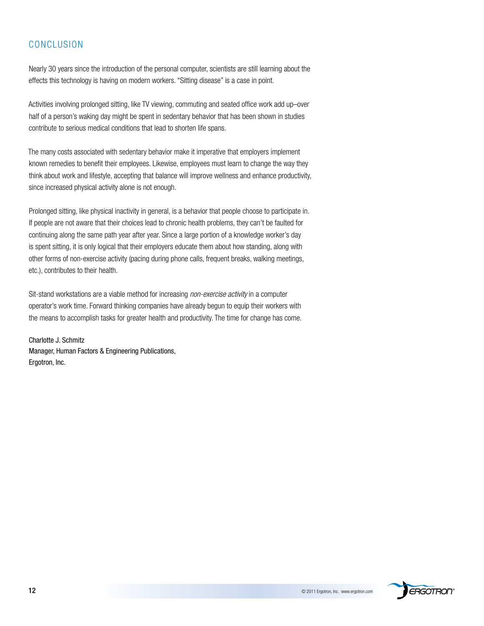### CoNCLUSIoN

Nearly 30 years since the introduction of the personal computer, scientists are still learning about the effects this technology is having on modern workers. "Sitting disease" is a case in point.

activities involving prolonged sitting, like TV viewing, commuting and seated office work add up–over half of a person's waking day might be spent in sedentary behavior that has been shown in studies contribute to serious medical conditions that lead to shorten life spans.

The many costs associated with sedentary behavior make it imperative that employers implement known remedies to benefit their employees. Likewise, employees must learn to change the way they think about work and lifestyle, accepting that balance will improve wellness and enhance productivity, since increased physical activity alone is not enough.

Prolonged sitting, like physical inactivity in general, is a behavior that people choose to participate in. If people are not aware that their choices lead to chronic health problems, they can't be faulted for continuing along the same path year after year. Since a large portion of a knowledge worker's day is spent sitting, it is only logical that their employers educate them about how standing, along with other forms of non-exercise activity (pacing during phone calls, frequent breaks, walking meetings, etc.), contributes to their health.

Sit-stand workstations are a viable method for increasing *non-exercise activity* in a computer operator's work time. Forward thinking companies have already begun to equip their workers with the means to accomplish tasks for greater health and productivity. The time for change has come.

Charlotte J. Schmitz Manager, Human Factors & Engineering Publications, Ergotron, Inc.

![](_page_11_Picture_7.jpeg)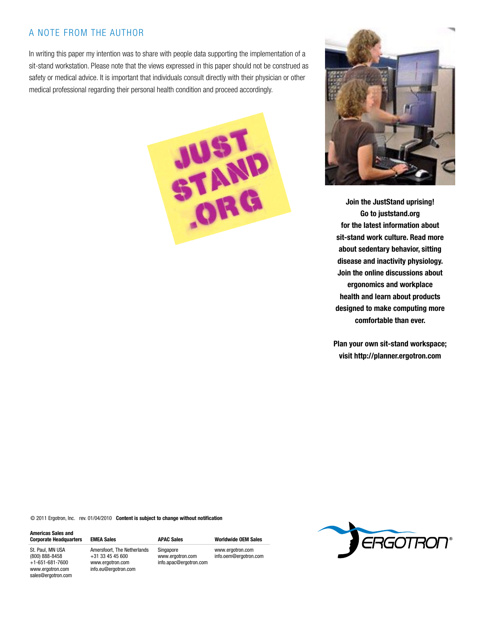### a NoTE FroM ThE aUThor

In writing this paper my intention was to share with people data supporting the implementation of a sit-stand workstation. Please note that the views expressed in this paper should not be construed as safety or medical advice. It is important that individuals consult directly with their physician or other medical professional regarding their personal health condition and proceed accordingly.

![](_page_12_Picture_2.jpeg)

![](_page_12_Picture_3.jpeg)

**Join the JustStand uprising! Go to juststand.org for the latest information about sit-stand work culture. Read more about sedentary behavior, sitting disease and inactivity physiology. Join the online discussions about ergonomics and workplace health and learn about products designed to make computing more comfortable than ever.**

**Plan your own sit-stand workspace; visit http://planner.ergotron.com**

© 2011 Ergotron, Inc. rev. 01/04/2010 **Content is subject to change without notification**

| <b>Americas Sales and</b><br><b>Corporate Headquarters</b> | EME/   |
|------------------------------------------------------------|--------|
| St. Paul, MN USA                                           | Amer   |
| (800) 888-8458                                             | $+31:$ |
| $+1 - 651 - 681 - 7600$                                    | www    |
| www.ergotron.com                                           | info.e |
| sales@ergotron.com                                         |        |

rsfoort. The Netherlands 33 45 45 600 ergotron.com info.eu@ergotron.com

**Corporate Headquarters EMEA Sales APAC Sales Worldwide OEM Sales** Singapore www.ergotron.com info.apac@ergotron.com

www.ergotron.com

![](_page_12_Picture_11.jpeg)

![](_page_12_Picture_12.jpeg)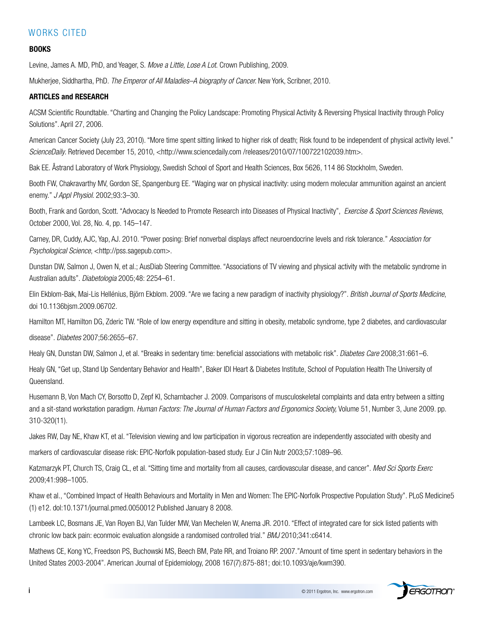### WORKS CITED

### **BOOKS**

Levine, James A. MD, PhD, and Yeager, S. Move a Little, Lose A Lot. Crown Publishing, 2009.

Mukherjee, Siddhartha, Phd. *The Emperor of All Maladies–A biography of Cancer.* New York, Scribner, 2010.

### **ARTICLES and RESEARCH**

ACSM Scientific Roundtable. "Charting and Changing the Policy Landscape: Promoting Physical Activity & Reversing Physical Inactivity through Policy Solutions". April 27, 2006.

American Cancer Society (July 23, 2010). "More time spent sitting linked to higher risk of death; Risk found to be independent of physical activity level." ScienceDaily. Retrieved December 15, 2010, <http://www.sciencedaily.com /releases/2010/07/100722102039.htm>.

Bak EE. Åstrand Laboratory of work Physiology, Swedish School of Sport and health Sciences, Box 5626, 114 86 Stockholm, Sweden.

Booth Fw, Chakravarthy MV, Gordon SE, Spangenburg EE. "waging war on physical inactivity: using modern molecular ammunition against an ancient enemy." *J Appl Physiol*. 2002;93:3–30.

Booth, Frank and Gordon, Scott. "Advocacy Is Needed to Promote Research into Diseases of Physical Inactivity", *Exercise & Sport Sciences Reviews*, october 2000, Vol. 28, No. 4, pp. 145–147.

Carney, DR, Cuddy, AJC, Yap, AJ. 2010. "Power posing: Brief nonverbal displays affect neuroendocrine levels and risk tolerance." *Association for Psychological Science*, <http://pss.sagepub.com>.

Dunstan DW, Salmon J, Owen N, et al.; AusDiab Steering Committee. "Associations of TV viewing and physical activity with the metabolic syndrome in australian adults". *Diabetologia* 2005;48: 2254–61.

Elin Ekblom-Bak, Mai-Lis hellénius, Björn Ekblom. 2009. "are we facing a new paradigm of inactivity physiology?". *British Journal of Sports Medicine*, doi 10.1136bjsm.2009.06702.

Hamilton MT, Hamilton DG, Zderic TW. "Role of low energy expenditure and sitting in obesity, metabolic syndrome, type 2 diabetes, and cardiovascular

disease". *Diabetes* 2007;56:2655–67.

Healy GN, Dunstan DW, Salmon J, et al. "Breaks in sedentary time: beneficial associations with metabolic risk". *Diabetes Care* 2008;31:661-6.

Healy GN, "Get up, Stand Up Sendentary Behavior and Health", Baker IDI Heart & Diabetes Institute, School of Population Health The University of Queensland.

husemann B, Von Mach CY, Borsotto d, Zepf KI, Scharnbacher J. 2009. Comparisons of musculoskeletal complaints and data entry between a sitting and a sit-stand workstation paradigm. *Human Factors: The Journal of Human Factors and Ergonomics Society,* Volume 51, Number 3, June 2009. pp. 310-320(11).

Jakes RW, Day NE, Khaw KT, et al. "Television viewing and low participation in vigorous recreation are independently associated with obesity and

markers of cardiovascular disease risk: EPIC-Norfolk population-based study. Eur J Clin Nutr 2003;57:1089–96.

Katzmarzyk PT, Church TS, Craig CL, et al. "Sitting time and mortality from all causes, cardiovascular disease, and cancer". *Med Sci Sports Exerc* 2009;41:998–1005.

Khaw et al., "Combined Impact of health Behaviours and Mortality in Men and women: The EPIC-Norfolk Prospective Population Study". PLoS Medicine5 (1) e12. dol:10.1371/journal.pmed.0050012 Published January 8 2008.

Lambeek LC, Bosmans JE, Van Royen BJ, Van Tulder MW, Van Mechelen W, Anema JR. 2010. "Effect of integrated care for sick listed patients with chronic low back pain: econmoic evaluation alongside a randomised controlled trial." *BMJ* 2010;341:c6414.

Mathews CE, Kong YC, Freedson PS, Buchowski MS, Beech BM, Pate RR, and Troiano RP. 2007."Amount of time spent in sedentary behaviors in the United States 2003-2004". american Journal of Epidemiology, 2008 167(7):875-881; doi:10.1093/aje/kwm390.

![](_page_13_Picture_24.jpeg)